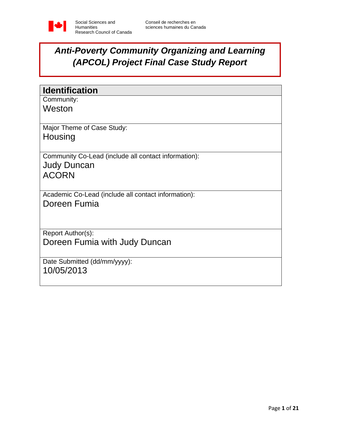

# *Anti-Poverty Community Organizing and Learning (APCOL) Project Final Case Study Report*

| <b>Identification</b>                                |
|------------------------------------------------------|
| Community:                                           |
| Weston                                               |
| Major Theme of Case Study:                           |
| Housing                                              |
| Community Co-Lead (include all contact information): |
| <b>Judy Duncan</b>                                   |
| <b>ACORN</b>                                         |
|                                                      |
| Academic Co-Lead (include all contact information):  |
| Doreen Fumia                                         |
|                                                      |
|                                                      |
| Report Author(s):                                    |
| Doreen Fumia with Judy Duncan                        |
|                                                      |
| Date Submitted (dd/mm/yyyy):                         |
| 10/05/2013                                           |
|                                                      |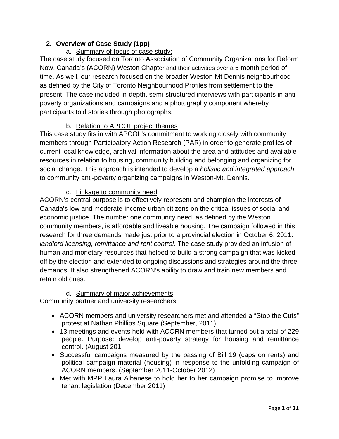## **2. Overview of Case Study (1pp)**

# a. Summary of focus of case study;

The case study focused on Toronto Association of Community Organizations for Reform Now, Canada's (ACORN) Weston Chapter and their activities over a 6-month period of time. As well, our research focused on the broader Weston-Mt Dennis neighbourhood as defined by the City of Toronto Neighbourhood Profiles from settlement to the present. The case included in-depth, semi-structured interviews with participants in antipoverty organizations and campaigns and a photography component whereby participants told stories through photographs.

### b. Relation to APCOL project themes

This case study fits in with APCOL's commitment to working closely with community members through Participatory Action Research (PAR) in order to generate profiles of current local knowledge, archival information about the area and attitudes and available resources in relation to housing, community building and belonging and organizing for social change. This approach is intended to develop a *holistic and integrated approach* to community anti-poverty organizing campaigns in Weston-Mt. Dennis.

### c. Linkage to community need

ACORN's central purpose is to effectively represent and champion the interests of Canada's low and moderate-income urban citizens on the critical issues of social and economic justice. The number one community need, as defined by the Weston community members, is affordable and liveable housing. The campaign followed in this research for three demands made just prior to a provincial election in October 6, 2011: *landlord licensing, remittance and rent control*. The case study provided an infusion of human and monetary resources that helped to build a strong campaign that was kicked off by the election and extended to ongoing discussions and strategies around the three demands. It also strengthened ACORN's ability to draw and train new members and retain old ones.

### d. Summary of major achievements

Community partner and university researchers

- ACORN members and university researchers met and attended a "Stop the Cuts" protest at Nathan Phillips Square (September, 2011)
- 13 meetings and events held with ACORN members that turned out a total of 229 people. Purpose: develop anti-poverty strategy for housing and remittance control. (August 201
- Successful campaigns measured by the passing of Bill 19 (caps on rents) and political campaign material (housing) in response to the unfolding campaign of ACORN members. (September 2011-October 2012)
- Met with MPP Laura Albanese to hold her to her campaign promise to improve tenant legislation (December 2011)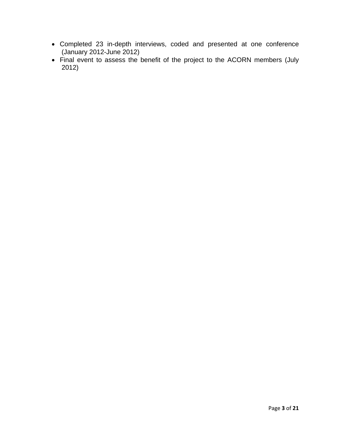- Completed 23 in-depth interviews, coded and presented at one conference (January 2012-June 2012)
- Final event to assess the benefit of the project to the ACORN members (July 2012)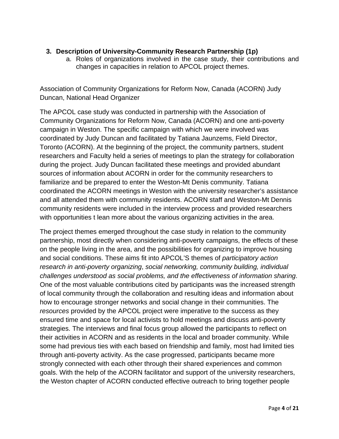#### **3. Description of University-Community Research Partnership (1p)**

a. Roles of organizations involved in the case study, their contributions and changes in capacities in relation to APCOL project themes.

Association of Community Organizations for Reform Now, Canada (ACORN) Judy Duncan, National Head Organizer

The APCOL case study was conducted in partnership with the Association of Community Organizations for Reform Now, Canada (ACORN) and one anti-poverty campaign in Weston. The specific campaign with which we were involved was coordinated by Judy Duncan and facilitated by Tatiana Jaunzems, Field Director, Toronto (ACORN). At the beginning of the project, the community partners, student researchers and Faculty held a series of meetings to plan the strategy for collaboration during the project. Judy Duncan facilitated these meetings and provided abundant sources of information about ACORN in order for the community researchers to familiarize and be prepared to enter the Weston-Mt Denis community. Tatiana coordinated the ACORN meetings in Weston with the university researcher's assistance and all attended them with community residents. ACORN staff and Weston-Mt Dennis community residents were included in the interview process and provided researchers with opportunities t lean more about the various organizing activities in the area.

The project themes emerged throughout the case study in relation to the community partnership, most directly when considering anti-poverty campaigns, the effects of these on the people living in the area, and the possibilities for organizing to improve housing and social conditions. These aims fit into APCOL'S themes of *participatory action research in anti-poverty organizing*, *social networking, community building, individual challenges understood as social problems, and the effectiveness of information sharing*. One of the most valuable contributions cited by participants was the increased strength of local community through the collaboration and resulting ideas and information about how to encourage stronger networks and social change in their communities. The *resources* provided by the APCOL project were imperative to the success as they ensured time and space for local activists to hold meetings and discuss anti-poverty strategies. The interviews and final focus group allowed the participants to reflect on their activities in ACORN and as residents in the local and broader community. While some had previous ties with each based on friendship and family, most had limited ties through anti-poverty activity. As the case progressed, participants became more strongly connected with each other through their shared experiences and common goals. With the help of the ACORN facilitator and support of the university researchers, the Weston chapter of ACORN conducted effective outreach to bring together people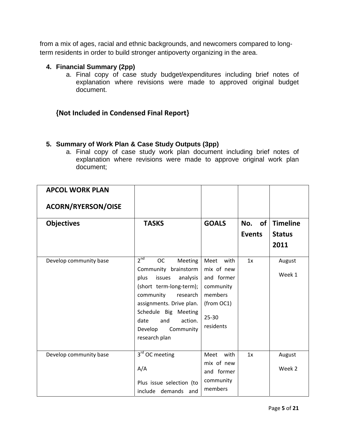from a mix of ages, racial and ethnic backgrounds, and newcomers compared to longterm residents in order to build stronger antipoverty organizing in the area.

#### **4. Financial Summary (2pp)**

a. Final copy of case study budget/expenditures including brief notes of explanation where revisions were made to approved original budget document.

## **{Not Included in Condensed Final Report}**

### **5. Summary of Work Plan & Case Study Outputs (3pp)**

a. Final copy of case study work plan document including brief notes of explanation where revisions were made to approve original work plan document;

| <b>ACORN/RYERSON/OISE</b><br><b>Timeline</b><br><b>GOALS</b><br>of<br><b>Objectives</b><br><b>TASKS</b><br>No.<br><b>Events</b><br><b>Status</b><br>2011<br>2 <sup>nd</sup><br><b>OC</b><br>Develop community base<br>Meeting<br>Meet with<br>1x<br>August<br>Community brainstorm<br>mix of new<br>Week 1<br>and former<br>plus<br>issues<br>analysis<br>(short term-long-term);<br>community<br>members<br>community<br>research<br>(from OC1)<br>assignments. Drive plan.<br>Schedule Big Meeting<br>$25 - 30$<br>action.<br>date<br>and<br>residents<br>Develop<br>Community<br>research plan<br>3 <sup>rd</sup> OC meeting<br>with<br>Develop community base<br>Meet<br>1x<br>August<br>mix of new<br>A/A<br>Week 2 | <b>APCOL WORK PLAN</b> |            |  |
|--------------------------------------------------------------------------------------------------------------------------------------------------------------------------------------------------------------------------------------------------------------------------------------------------------------------------------------------------------------------------------------------------------------------------------------------------------------------------------------------------------------------------------------------------------------------------------------------------------------------------------------------------------------------------------------------------------------------------|------------------------|------------|--|
|                                                                                                                                                                                                                                                                                                                                                                                                                                                                                                                                                                                                                                                                                                                          |                        |            |  |
|                                                                                                                                                                                                                                                                                                                                                                                                                                                                                                                                                                                                                                                                                                                          |                        |            |  |
|                                                                                                                                                                                                                                                                                                                                                                                                                                                                                                                                                                                                                                                                                                                          |                        |            |  |
|                                                                                                                                                                                                                                                                                                                                                                                                                                                                                                                                                                                                                                                                                                                          |                        |            |  |
|                                                                                                                                                                                                                                                                                                                                                                                                                                                                                                                                                                                                                                                                                                                          |                        |            |  |
|                                                                                                                                                                                                                                                                                                                                                                                                                                                                                                                                                                                                                                                                                                                          |                        |            |  |
|                                                                                                                                                                                                                                                                                                                                                                                                                                                                                                                                                                                                                                                                                                                          |                        |            |  |
|                                                                                                                                                                                                                                                                                                                                                                                                                                                                                                                                                                                                                                                                                                                          |                        |            |  |
|                                                                                                                                                                                                                                                                                                                                                                                                                                                                                                                                                                                                                                                                                                                          |                        |            |  |
|                                                                                                                                                                                                                                                                                                                                                                                                                                                                                                                                                                                                                                                                                                                          |                        |            |  |
|                                                                                                                                                                                                                                                                                                                                                                                                                                                                                                                                                                                                                                                                                                                          |                        |            |  |
|                                                                                                                                                                                                                                                                                                                                                                                                                                                                                                                                                                                                                                                                                                                          |                        |            |  |
|                                                                                                                                                                                                                                                                                                                                                                                                                                                                                                                                                                                                                                                                                                                          |                        |            |  |
|                                                                                                                                                                                                                                                                                                                                                                                                                                                                                                                                                                                                                                                                                                                          |                        |            |  |
|                                                                                                                                                                                                                                                                                                                                                                                                                                                                                                                                                                                                                                                                                                                          |                        |            |  |
|                                                                                                                                                                                                                                                                                                                                                                                                                                                                                                                                                                                                                                                                                                                          |                        |            |  |
|                                                                                                                                                                                                                                                                                                                                                                                                                                                                                                                                                                                                                                                                                                                          |                        | and former |  |
| community<br>Plus issue selection (to                                                                                                                                                                                                                                                                                                                                                                                                                                                                                                                                                                                                                                                                                    |                        |            |  |
| members<br>include demands and                                                                                                                                                                                                                                                                                                                                                                                                                                                                                                                                                                                                                                                                                           |                        |            |  |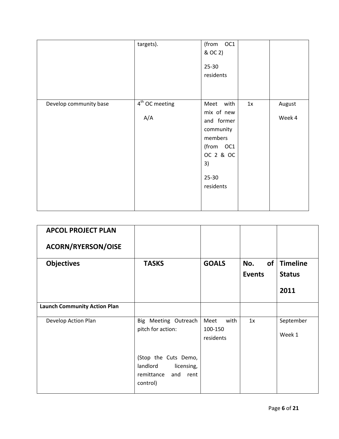|                        | targets).               | (from OC1<br>& OC 2)<br>$25 - 30$<br>residents                                                                          |    |                  |
|------------------------|-------------------------|-------------------------------------------------------------------------------------------------------------------------|----|------------------|
| Develop community base | $4th$ OC meeting<br>A/A | Meet with<br>mix of new<br>and former<br>community<br>members<br>(from OC1<br>OC 2 & OC<br>3)<br>$25 - 30$<br>residents | 1x | August<br>Week 4 |

| <b>APCOL PROJECT PLAN</b><br><b>ACORN/RYERSON/OISE</b> |                                                                                      |                                      |                            |                                          |
|--------------------------------------------------------|--------------------------------------------------------------------------------------|--------------------------------------|----------------------------|------------------------------------------|
| <b>Objectives</b>                                      | <b>TASKS</b>                                                                         | <b>GOALS</b>                         | of<br>No.<br><b>Events</b> | <b>Timeline</b><br><b>Status</b><br>2011 |
| <b>Launch Community Action Plan</b>                    |                                                                                      |                                      |                            |                                          |
| Develop Action Plan                                    | Big Meeting Outreach<br>pitch for action:                                            | Meet<br>with<br>100-150<br>residents | 1x                         | September<br>Week 1                      |
|                                                        | (Stop the Cuts Demo,<br>landlord<br>licensing,<br>remittance<br>and rent<br>control) |                                      |                            |                                          |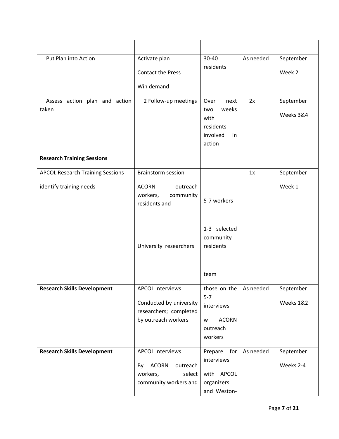| Put Plan into Action                                               | Activate plan<br><b>Contact the Press</b><br>Win demand                                                                   | 30-40<br>residents                                                                                  | As needed | September<br>Week 2    |
|--------------------------------------------------------------------|---------------------------------------------------------------------------------------------------------------------------|-----------------------------------------------------------------------------------------------------|-----------|------------------------|
| Assess action plan and action<br>taken                             | 2 Follow-up meetings                                                                                                      | Over<br>next<br>weeks<br>two<br>with<br>residents<br>involved<br>in<br>action                       | 2x        | September<br>Weeks 3&4 |
| <b>Research Training Sessions</b>                                  |                                                                                                                           |                                                                                                     |           |                        |
| <b>APCOL Research Training Sessions</b><br>identify training needs | <b>Brainstorm session</b><br><b>ACORN</b><br>outreach<br>workers,<br>community<br>residents and<br>University researchers | 5-7 workers<br>1-3 selected<br>community<br>residents<br>team                                       | 1x        | September<br>Week 1    |
| <b>Research Skills Development</b>                                 | <b>APCOL Interviews</b><br>Conducted by university<br>researchers; completed<br>by outreach workers                       | those on the $\vert$ As needed<br>$5 - 7$<br>interviews<br><b>ACORN</b><br>w<br>outreach<br>workers |           | September<br>Weeks 1&2 |
| <b>Research Skills Development</b>                                 | <b>APCOL Interviews</b><br>By ACORN<br>outreach<br>workers,<br>select<br>community workers and                            | Prepare<br>for<br>interviews<br>with APCOL<br>organizers<br>and Weston-                             | As needed | September<br>Weeks 2-4 |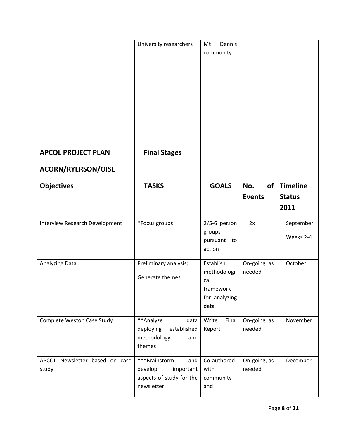|                                                 | University researchers                                                                 | Mt<br>Dennis<br>community                                             |                            |                                          |
|-------------------------------------------------|----------------------------------------------------------------------------------------|-----------------------------------------------------------------------|----------------------------|------------------------------------------|
| <b>APCOL PROJECT PLAN</b><br>ACORN/RYERSON/OISE | <b>Final Stages</b>                                                                    |                                                                       |                            |                                          |
| <b>Objectives</b>                               | <b>TASKS</b>                                                                           | <b>GOALS</b>                                                          | No.<br>of<br><b>Events</b> | <b>Timeline</b><br><b>Status</b><br>2011 |
| Interview Research Development                  | *Focus groups                                                                          | $2/5-6$ person<br>groups<br>pursuant to<br>action                     | 2x                         | September<br>Weeks 2-4                   |
| Analyzing Data                                  | Preliminary analysis;<br>Generate themes                                               | Establish<br>methodologi<br>cal<br>framework<br>for analyzing<br>data | On-going as<br>needed      | October                                  |
| Complete Weston Case Study                      | **Analyze<br>data<br>deploying<br>established<br>methodology<br>and<br>themes          | Write<br>Final<br>Report                                              | On-going as<br>needed      | November                                 |
| APCOL Newsletter based on case<br>study         | ***Brainstorm<br>and<br>develop<br>important<br>aspects of study for the<br>newsletter | Co-authored<br>with<br>community<br>and                               | On-going, as<br>needed     | December                                 |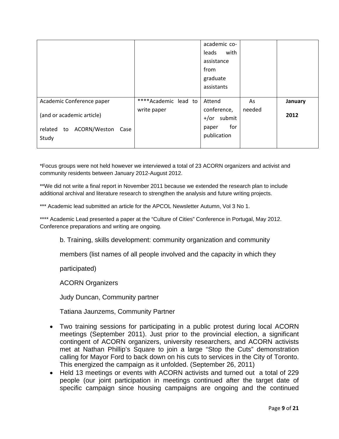|                                                                          |                      | academic co-<br>with<br>leads<br>assistance<br>from<br>graduate<br>assistants |        |         |
|--------------------------------------------------------------------------|----------------------|-------------------------------------------------------------------------------|--------|---------|
| Academic Conference paper                                                | ****Academic lead to | Attend                                                                        | As     | January |
| (and or academic article)<br>to ACORN/Weston<br>related<br>Case<br>Study | write paper          | conference,<br>submit<br>+/or<br>for<br>paper<br>publication                  | needed | 2012    |

\*Focus groups were not held however we interviewed a total of 23 ACORN organizers and activist and community residents between January 2012-August 2012.

\*\*We did not write a final report in November 2011 because we extended the research plan to include additional archival and literature research to strengthen the analysis and future writing projects.

\*\*\* Academic lead submitted an article for the APCOL Newsletter Autumn, Vol 3 No 1.

\*\*\*\* Academic Lead presented a paper at the "Culture of Cities" Conference in Portugal, May 2012. Conference preparations and writing are ongoing.

b. Training, skills development: community organization and community

members (list names of all people involved and the capacity in which they

participated)

ACORN Organizers

Judy Duncan, Community partner

Tatiana Jaunzems, Community Partner

- Two training sessions for participating in a public protest during local ACORN meetings (September 2011). Just prior to the provincial election, a significant contingent of ACORN organizers, university researchers, and ACORN activists met at Nathan Phillip's Square to join a large "Stop the Cuts" demonstration calling for Mayor Ford to back down on his cuts to services in the City of Toronto. This energized the campaign as it unfolded. (September 26, 2011)
- Held 13 meetings or events with ACORN activists and turned out a total of 229 people (our joint participation in meetings continued after the target date of specific campaign since housing campaigns are ongoing and the continued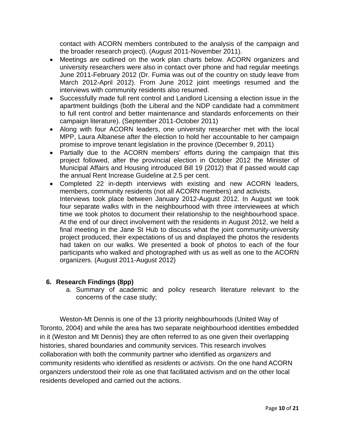contact with ACORN members contributed to the analysis of the campaign and the broader research project). (August 2011-November 2011).

- Meetings are outlined on the work plan charts below. ACORN organizers and university researchers were also in contact over phone and had regular meetings June 2011-February 2012 (Dr. Fumia was out of the country on study leave from March 2012-April 2012). From June 2012 joint meetings resumed and the interviews with community residents also resumed.
- Successfully made full rent control and Landlord Licensing a election issue in the apartment buildings (both the Liberal and the NDP candidate had a commitment to full rent control and better maintenance and standards enforcements on their campaign literature). (September 2011-October 2011)
- Along with four ACORN leaders, one university researcher met with the local MPP, Laura Albanese after the election to hold her accountable to her campaign promise to improve tenant legislation in the province (December 9, 2011)
- Partially due to the ACORN members' efforts during the campaign that this project followed, after the provincial election in October 2012 the Minister of Municipal Affairs and Housing introduced Bill 19 (2012) that if passed would cap the annual Rent Increase Guideline at 2.5 per cent.
- Completed 22 in-depth interviews with existing and new ACORN leaders, members, community residents (not all ACORN members) and activists. Interviews took place between January 2012-August 2012. In August we took four separate walks with in the neighbourhood with three interviewees at which time we took photos to document their relationship to the neighbourhood space. At the end of our direct involvement with the residents in August 2012, we held a final meeting in the Jane St Hub to discuss what the joint community-university project produced, their expectations of us and displayed the photos the residents had taken on our walks. We presented a book of photos to each of the four participants who walked and photographed with us as well as one to the ACORN organizers. (August 2011-August 2012)

### **6. Research Findings (8pp)**

a. Summary of academic and policy research literature relevant to the concerns of the case study;

Weston-Mt Dennis is one of the 13 priority neighbourhoods (United Way of Toronto, 2004) and while the area has two separate neighbourhood identities embedded in it (Weston and Mt Dennis) they are often referred to as one given their overlapping histories, shared boundaries and community services. This research involves collaboration with both the community partner who identified as *organizers* and community residents who identified as *residents* or *activists*. On the one hand ACORN organizers understood their role as one that facilitated activism and on the other local residents developed and carried out the actions.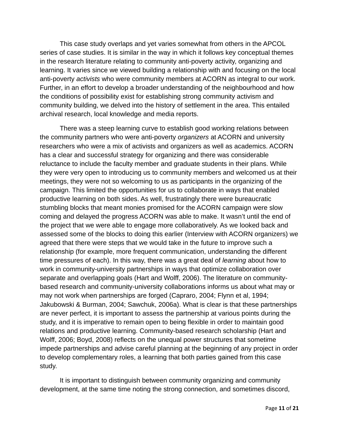This case study overlaps and yet varies somewhat from others in the APCOL series of case studies. It is similar in the way in which it follows key conceptual themes in the research literature relating to community anti-poverty activity, organizing and learning. It varies since we viewed building a relationship with and focusing on the local anti-poverty *activists* who were community members at ACORN as integral to our work. Further, in an effort to develop a broader understanding of the neighbourhood and how the conditions of possibility exist for establishing strong community activism and community building, we delved into the history of settlement in the area. This entailed archival research, local knowledge and media reports.

There was a steep learning curve to establish good working relations between the community partners who were anti-poverty *organizers* at ACORN and university researchers who were a mix of activists and organizers as well as academics. ACORN has a clear and successful strategy for organizing and there was considerable reluctance to include the faculty member and graduate students in their plans. While they were very open to introducing us to community members and welcomed us at their meetings, they were not so welcoming to us as participants in the organizing of the campaign. This limited the opportunities for us to collaborate in ways that enabled productive learning on both sides. As well, frustratingly there were bureaucratic stumbling blocks that meant monies promised for the ACORN campaign were slow coming and delayed the progress ACORN was able to make. It wasn't until the end of the project that we were able to engage more collaboratively. As we looked back and assessed some of the blocks to doing this earlier (Interview with ACORN organizers) we agreed that there were steps that we would take in the future to improve such a relationship (for example, more frequent communication, understanding the different time pressures of each). In this way, there was a great deal of *learning* about how to work in community-university partnerships in ways that optimize collaboration over separate and overlapping goals (Hart and Wolff, 2006). The literature on communitybased research and community-university collaborations informs us about what may or may not work when partnerships are forged (Capraro, 2004; Flynn et al, 1994; Jakubowski & Burman, 2004; Sawchuk, 2006a). What is clear is that these partnerships are never perfect, it is important to assess the partnership at various points during the study, and it is imperative to remain open to being flexible in order to maintain good relations and productive learning. Community-based research scholarship (Hart and Wolff, 2006; Boyd, 2008) reflects on the unequal power structures that sometime impede partnerships and advise careful planning at the beginning of any project in order to develop complementary roles, a learning that both parties gained from this case study.

It is important to distinguish between community organizing and community development, at the same time noting the strong connection, and sometimes discord,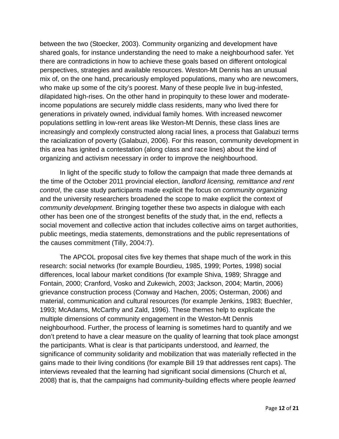between the two (Stoecker, 2003). Community organizing and development have shared goals, for instance understanding the need to make a neighbourhood safer. Yet there are contradictions in how to achieve these goals based on different ontological perspectives, strategies and available resources. Weston-Mt Dennis has an unusual mix of, on the one hand, precariously employed populations, many who are newcomers, who make up some of the city's poorest. Many of these people live in bug-infested, dilapidated high-rises. On the other hand in propinquity to these lower and moderateincome populations are securely middle class residents, many who lived there for generations in privately owned, individual family homes. With increased newcomer populations settling in low-rent areas like Weston-Mt Dennis, these class lines are increasingly and complexly constructed along racial lines, a process that Galabuzi terms the racialization of poverty (Galabuzi, 2006). For this reason, community development in this area has ignited a contestation (along class and race lines) about the kind of organizing and activism necessary in order to improve the neighbourhood.

In light of the specific study to follow the campaign that made three demands at the time of the October 2011 provincial election, *landlord licensing, remittance and rent control*, the case study participants made explicit the focus on *community organizing* and the university researchers broadened the scope to make explicit the context of *community development*. Bringing together these two aspects in dialogue with each other has been one of the strongest benefits of the study that, in the end, reflects a social movement and collective action that includes collective aims on target authorities, public meetings, media statements, demonstrations and the public representations of the causes commitment (Tilly, 2004:7).

The APCOL proposal cites five key themes that shape much of the work in this research: social networks (for example Bourdieu, 1985, 1999; Portes, 1998) social differences, local labour market conditions (for example Shiva, 1989; Shragge and Fontain, 2000; Cranford, Vosko and Zukewich, 2003; Jackson, 2004; Martin, 2006) grievance construction process (Conway and Hachen, 2005; Osterman, 2006) and material, communication and cultural resources (for example Jenkins, 1983; Buechler, 1993; McAdams, McCarthy and Zald, 1996). These themes help to explicate the multiple dimensions of community engagement in the Weston-Mt Dennis neighbourhood. Further, the process of learning is sometimes hard to quantify and we don't pretend to have a clear measure on the quality of learning that took place amongst the participants. What is clear is that participants understood, and *learned*, the significance of community solidarity and mobilization that was materially reflected in the gains made to their living conditions (for example Bill 19 that addresses rent caps). The interviews revealed that the learning had significant social dimensions (Church et al, 2008) that is, that the campaigns had community-building effects where people *learned*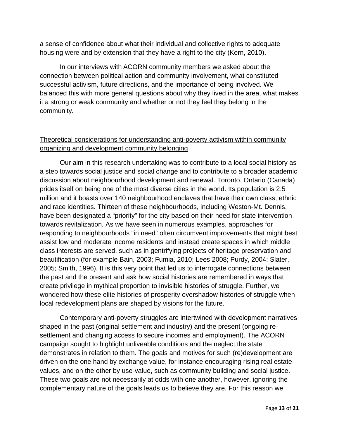a sense of confidence about what their individual and collective rights to adequate housing were and by extension that they have a right to the city (Kern, 2010).

In our interviews with ACORN community members we asked about the connection between political action and community involvement, what constituted successful activism, future directions, and the importance of being involved. We balanced this with more general questions about why they lived in the area, what makes it a strong or weak community and whether or not they feel they belong in the community.

## Theoretical considerations for understanding anti-poverty activism within community organizing and development community belonging

Our aim in this research undertaking was to contribute to a local social history as a step towards social justice and social change and to contribute to a broader academic discussion about neighbourhood development and renewal. Toronto, Ontario (Canada) prides itself on being one of the most diverse cities in the world. Its population is 2.5 million and it boasts over 140 neighbourhood enclaves that have their own class, ethnic and race identities. Thirteen of these neighbourhoods, including Weston-Mt. Dennis, have been designated a "priority" for the city based on their need for state intervention towards revitalization. As we have seen in numerous examples, approaches for responding to neighbourhoods "in need" often circumvent improvements that might best assist low and moderate income residents and instead create spaces in which middle class interests are served, such as in gentrifying projects of heritage preservation and beautification (for example Bain, 2003; Fumia, 2010; Lees 2008; Purdy, 2004; Slater, 2005; Smith, 1996). It is this very point that led us to interrogate connections between the past and the present and ask how social histories are remembered in ways that create privilege in mythical proportion to invisible histories of struggle. Further, we wondered how these elite histories of prosperity overshadow histories of struggle when local redevelopment plans are shaped by visions for the future.

Contemporary anti-poverty struggles are intertwined with development narratives shaped in the past (original settlement and industry) and the present (ongoing resettlement and changing access to secure incomes and employment). The ACORN campaign sought to highlight unliveable conditions and the neglect the state demonstrates in relation to them. The goals and motives for such (re)development are driven on the one hand by exchange value, for instance encouraging rising real estate values, and on the other by use-value, such as community building and social justice. These two goals are not necessarily at odds with one another, however, ignoring the complementary nature of the goals leads us to believe they are. For this reason we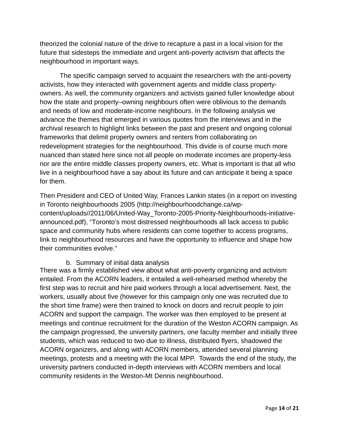theorized the colonial nature of the drive to recapture a past in a local vision for the future that sidesteps the immediate and urgent anti-poverty activism that affects the neighbourhood in important ways.

The specific campaign served to acquaint the researchers with the anti-poverty activists, how they interacted with government agents and middle class propertyowners. As well, the community organizers and activists gained fuller knowledge about how the state and property–owning neighbours often were oblivious to the demands and needs of low and moderate-income neighbours. In the following analysis we advance the themes that emerged in various quotes from the interviews and in the archival research to highlight links between the past and present and ongoing colonial frameworks that delimit property owners and renters from collaborating on redevelopment strategies for the neighbourhood. This divide is of course much more nuanced than stated here since not all people on moderate incomes are property-less nor are the entire middle classes property owners, etc. What is important is that all who live in a neighbourhood have a say about its future and can anticipate it being a space for them.

Then President and CEO of United Way, Frances Lankin states (in a report on investing in Toronto neighbourhoods 2005 (http://neighbourhoodchange.ca/wpcontent/uploads//2011/06/United-Way\_Toronto-2005-Priority-Neighbourhoods-initiativeannounced.pdf), "Toronto's most distressed neighbourhoods all lack access to public space and community hubs where residents can come together to access programs, link to neighbourhood resources and have the opportunity to influence and shape how their communities evolve."

b. Summary of initial data analysis

There was a firmly established view about what anti-poverty organizing and activism entailed. From the ACORN leaders, it entailed a well-rehearsed method whereby the first step was to recruit and hire paid workers through a local advertisement. Next, the workers, usually about five (however for this campaign only one was recruited due to the short time frame) were then trained to knock on doors and recruit people to join ACORN and support the campaign. The worker was then employed to be present at meetings and continue recruitment for the duration of the Weston ACORN campaign. As the campaign progressed, the university partners, one faculty member and initially three students, which was reduced to two due to illness, distributed flyers, shadowed the ACORN organizers, and along with ACORN members, attended several planning meetings, protests and a meeting with the local MPP. Towards the end of the study, the university partners conducted in-depth interviews with ACORN members and local community residents in the Weston-Mt Dennis neighbourhood.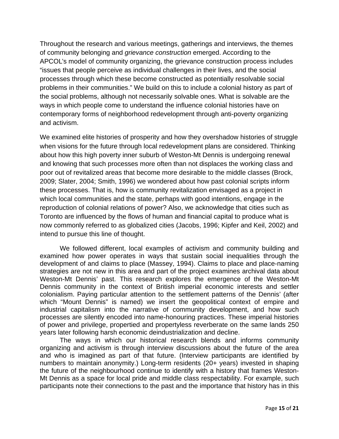Throughout the research and various meetings, gatherings and interviews, the themes of community belonging and *grievance construction* emerged. According to the APCOL's model of community organizing, the grievance construction process includes "issues that people perceive as individual challenges in their lives, and the social processes through which these become constructed as potentially resolvable social problems in their communities." We build on this to include a colonial history as part of the social problems, although not necessarily solvable ones. What is solvable are the ways in which people come to understand the influence colonial histories have on contemporary forms of neighborhood redevelopment through anti-poverty organizing and activism.

We examined elite histories of prosperity and how they overshadow histories of struggle when visions for the future through local redevelopment plans are considered. Thinking about how this high poverty inner suburb of Weston-Mt Dennis is undergoing renewal and knowing that such processes more often than not displaces the working class and poor out of revitalized areas that become more desirable to the middle classes (Brock, 2009; Slater, 2004; Smith, 1996) we wondered about how past colonial scripts inform these processes. That is, how is community revitalization envisaged as a project in which local communities and the state, perhaps with good intentions, engage in the reproduction of colonial relations of power? Also, we acknowledge that cities such as Toronto are influenced by the flows of human and financial capital to produce what is now commonly referred to as globalized cities (Jacobs, 1996; Kipfer and Keil, 2002) and intend to pursue this line of thought.

We followed different, local examples of activism and community building and examined how power operates in ways that sustain social inequalities through the development of and claims to place (Massey, 1994). Claims to place and place-naming strategies are not new in this area and part of the project examines archival data about Weston-Mt Dennis' past. This research explores the emergence of the Weston-Mt Dennis community in the context of British imperial economic interests and settler colonialism. Paying particular attention to the settlement patterns of the Dennis' (after which "Mount Dennis" is named) we insert the geopolitical context of empire and industrial capitalism into the narrative of community development, and how such processes are silently encoded into name-honouring practices. These imperial histories of power and privilege, propertied and propertyless reverberate on the same lands 250 years later following harsh economic deindustrialization and decline.

The ways in which our historical research blends and informs community organizing and activism is through interview discussions about the future of the area and who is imagined as part of that future. (Interview participants are identified by numbers to maintain anonymity.) Long-term residents (20+ years) invested in shaping the future of the neighbourhood continue to identify with a history that frames Weston-Mt Dennis as a space for local pride and middle class respectability. For example, such participants note their connections to the past and the importance that history has in this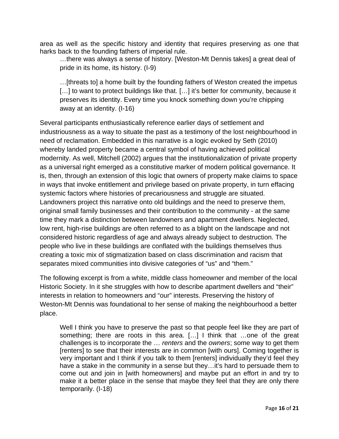area as well as the specific history and identity that requires preserving as one that harks back to the founding fathers of imperial rule.

…there was always a sense of history. [Weston-Mt Dennis takes] a great deal of pride in its home, its history. (I-9)

…[threats to] a home built by the founding fathers of Weston created the impetus [...] to want to protect buildings like that. [...] it's better for community, because it preserves its identity. Every time you knock something down you're chipping away at an identity. (I-16)

Several participants enthusiastically reference earlier days of settlement and industriousness as a way to situate the past as a testimony of the lost neighbourhood in need of reclamation. Embedded in this narrative is a logic evoked by Seth (2010) whereby landed property became a central symbol of having achieved political modernity. As well, Mitchell (2002) argues that the institutionalization of private property as a universal right emerged as a constitutive marker of modern political governance. It is, then, through an extension of this logic that owners of property make claims to space in ways that invoke entitlement and privilege based on private property, in turn effacing systemic factors where histories of precariousness and struggle are situated. Landowners project this narrative onto old buildings and the need to preserve them, original small family businesses and their contribution to the community - at the same time they mark a distinction between landowners and apartment dwellers. Neglected, low rent, high-rise buildings are often referred to as a blight on the landscape and not considered historic regardless of age and always already subject to destruction. The people who live in these buildings are conflated with the buildings themselves thus creating a toxic mix of stigmatization based on class discrimination and racism that separates mixed communities into divisive categories of "us" and "them."

The following excerpt is from a white, middle class homeowner and member of the local Historic Society. In it she struggles with how to describe apartment dwellers and "their" interests in relation to homeowners and "our" interests. Preserving the history of Weston-Mt Dennis was foundational to her sense of making the neighbourhood a better place.

Well I think you have to preserve the past so that people feel like they are part of something; there are roots in this area. […] I think that …one of the great challenges is to incorporate the … *renters* and the *owners*; some way to get them [renters] to see that their interests are in common [with ours]. Coming together is very important and I think if you talk to them [renters] individually they'd feel they have a stake in the community in a sense but they...it's hard to persuade them to come out and join in [with homeowners] and maybe put an effort in and try to make it a better place in the sense that maybe they feel that they are only there temporarily. (I-18)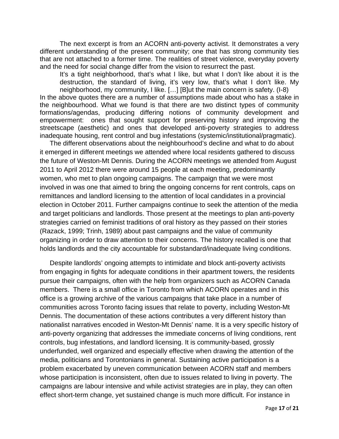The next excerpt is from an ACORN anti-poverty activist. It demonstrates a very different understanding of the present community; one that has strong community ties that are not attached to a former time. The realities of street violence, everyday poverty and the need for social change differ from the vision to resurrect the past.

It's a tight neighborhood, that's what I like, but what I don't like about it is the destruction, the standard of living, it's very low, that's what I don't like. My neighborhood, my community, I like. […] [B]ut the main concern is safety. (I-8)

In the above quotes there are a number of assumptions made about who has a stake in the neighbourhood. What we found is that there are two distinct types of community formations/agendas, producing differing notions of community development and empowerment: ones that sought support for preserving history and improving the streetscape (aesthetic) and ones that developed anti-poverty strategies to address inadequate housing, rent control and bug infestations (systemic/institutional/pragmatic).

The different observations about the neighbourhood's decline and what to do about it emerged in different meetings we attended where local residents gathered to discuss the future of Weston-Mt Dennis. During the ACORN meetings we attended from August 2011 to April 2012 there were around 15 people at each meeting, predominantly women, who met to plan ongoing campaigns. The campaign that we were most involved in was one that aimed to bring the ongoing concerns for rent controls, caps on remittances and landlord licensing to the attention of local candidates in a provincial election in October 2011. Further campaigns continue to seek the attention of the media and target politicians and landlords. Those present at the meetings to plan anti-poverty strategies carried on feminist traditions of oral history as they passed on their stories (Razack, 1999; Trinh, 1989) about past campaigns and the value of community organizing in order to draw attention to their concerns. The history recalled is one that holds landlords and the city accountable for substandard/inadequate living conditions.

Despite landlords' ongoing attempts to intimidate and block anti-poverty activists from engaging in fights for adequate conditions in their apartment towers, the residents pursue their campaigns, often with the help from organizers such as ACORN Canada members. There is a small office in Toronto from which ACORN operates and in this office is a growing archive of the various campaigns that take place in a number of communities across Toronto facing issues that relate to poverty, including Weston-Mt Dennis. The documentation of these actions contributes a very different history than nationalist narratives encoded in Weston-Mt Dennis' name. It is a very specific history of anti-poverty organizing that addresses the immediate concerns of living conditions, rent controls, bug infestations, and landlord licensing. It is community-based, grossly underfunded, well organized and especially effective when drawing the attention of the media, politicians and Torontonians in general. Sustaining active participation is a problem exacerbated by uneven communication between ACORN staff and members whose participation is inconsistent, often due to issues related to living in poverty. The campaigns are labour intensive and while activist strategies are in play, they can often effect short-term change, yet sustained change is much more difficult. For instance in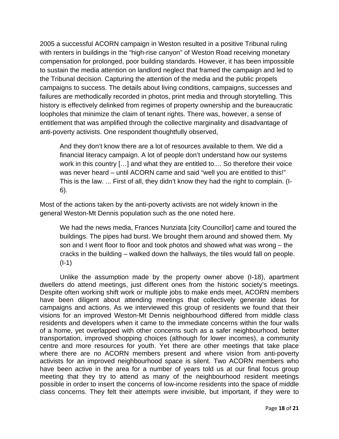2005 a successful ACORN campaign in Weston resulted in a positive Tribunal ruling with renters in buildings in the "high-rise canyon" of Weston Road receiving monetary compensation for prolonged, poor building standards. However, it has been impossible to sustain the media attention on landlord neglect that framed the campaign and led to the Tribunal decision. Capturing the attention of the media and the public propels campaigns to success. The details about living conditions, campaigns, successes and failures are methodically recorded in photos, print media and through storytelling. This history is effectively delinked from regimes of property ownership and the bureaucratic loopholes that minimize the claim of tenant rights. There was, however, a sense of entitlement that was amplified through the collective marginality and disadvantage of anti-poverty activists. One respondent thoughtfully observed,

And they don't know there are a lot of resources available to them. We did a financial literacy campaign. A lot of people don't understand how our systems work in this country […] and what they are entitled to.... So therefore their voice was never heard – until ACORN came and said "well you are entitled to this!" This is the law. ... First of all, they didn't know they had the right to complain. (I-6).

Most of the actions taken by the anti-poverty activists are not widely known in the general Weston-Mt Dennis population such as the one noted here.

We had the news media, Frances Nunziata [city Councillor] came and toured the buildings. The pipes had burst. We brought them around and showed them. My son and I went floor to floor and took photos and showed what was wrong – the cracks in the building – walked down the hallways, the tiles would fall on people. (I-1)

Unlike the assumption made by the property owner above (I-18), apartment dwellers do attend meetings, just different ones from the historic society's meetings. Despite often working shift work or multiple jobs to make ends meet, ACORN members have been diligent about attending meetings that collectively generate ideas for campaigns and actions. As we interviewed this group of residents we found that their visions for an improved Weston-Mt Dennis neighbourhood differed from middle class residents and developers when it came to the immediate concerns within the four walls of a home, yet overlapped with other concerns such as a safer neighbourhood, better transportation, improved shopping choices (although for lower incomes), a community centre and more resources for youth. Yet there are other meetings that take place where there are no ACORN members present and where vision from anti-poverty activists for an improved neighbourhood space is silent. Two ACORN members who have been active in the area for a number of years told us at our final focus group meeting that they try to attend as many of the neighbourhood resident meetings possible in order to insert the concerns of low-income residents into the space of middle class concerns. They felt their attempts were invisible, but important, if they were to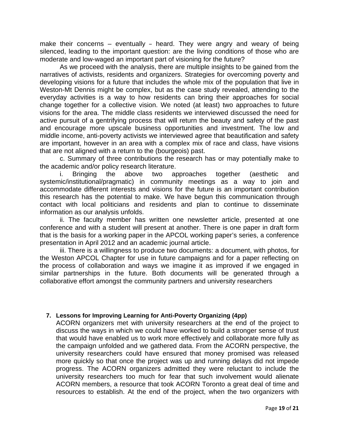make their concerns  $-$  eventually  $-$  heard. They were angry and weary of being silenced, leading to the important question: are the living conditions of those who are moderate and low-waged an important part of visioning for the future?

 As we proceed with the analysis, there are multiple insights to be gained from the narratives of activists, residents and organizers. Strategies for overcoming poverty and developing visions for a future that includes the whole mix of the population that live in Weston-Mt Dennis might be complex, but as the case study revealed, attending to the everyday activities is a way to how residents can bring their approaches for social change together for a collective vision. We noted (at least) two approaches to future visions for the area. The middle class residents we interviewed discussed the need for active pursuit of a gentrifying process that will return the beauty and safety of the past and encourage more upscale business opportunities and investment. The low and middle income, anti-poverty activists we interviewed agree that beautification and safety are important, however in an area with a complex mix of race and class, have visions that are not aligned with a return to the (bourgeois) past.

 c. Summary of three contributions the research has or may potentially make to the academic and/or policy research literature.

i. Bringing the above two approaches together (aesthetic and systemic/institutional/pragmatic) in community meetings as a way to join and accommodate different interests and visions for the future is an important contribution this research has the potential to make. We have begun this communication through contact with local politicians and residents and plan to continue to disseminate information as our analysis unfolds.

ii. The faculty member has written one newsletter article, presented at one conference and with a student will present at another. There is one paper in draft form that is the basis for a working paper in the APCOL working paper's series, a conference presentation in April 2012 and an academic journal article.

iii. There is a willingness to produce two documents: a document, with photos, for the Weston APCOL Chapter for use in future campaigns and for a paper reflecting on the process of collaboration and ways we imagine it as improved if we engaged in similar partnerships in the future. Both documents will be generated through a collaborative effort amongst the community partners and university researchers

#### **7. Lessons for Improving Learning for Anti-Poverty Organizing (4pp)**

ACORN organizers met with university researchers at the end of the project to discuss the ways in which we could have worked to build a stronger sense of trust that would have enabled us to work more effectively and collaborate more fully as the campaign unfolded and we gathered data. From the ACORN perspective, the university researchers could have ensured that money promised was released more quickly so that once the project was up and running delays did not impede progress. The ACORN organizers admitted they were reluctant to include the university researchers too much for fear that such involvement would alienate ACORN members, a resource that took ACORN Toronto a great deal of time and resources to establish. At the end of the project, when the two organizers with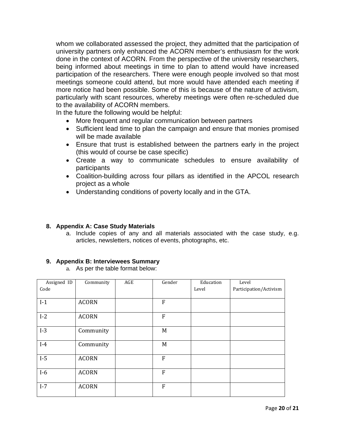whom we collaborated assessed the project, they admitted that the participation of university partners only enhanced the ACORN member's enthusiasm for the work done in the context of ACORN. From the perspective of the university researchers, being informed about meetings in time to plan to attend would have increased participation of the researchers. There were enough people involved so that most meetings someone could attend, but more would have attended each meeting if more notice had been possible. Some of this is because of the nature of activism, particularly with scant resources, whereby meetings were often re-scheduled due to the availability of ACORN members.

In the future the following would be helpful:

- More frequent and regular communication between partners
- Sufficient lead time to plan the campaign and ensure that monies promised will be made available
- Ensure that trust is established between the partners early in the project (this would of course be case specific)
- Create a way to communicate schedules to ensure availability of participants
- Coalition-building across four pillars as identified in the APCOL research project as a whole
- Understanding conditions of poverty locally and in the GTA.

#### **8. Appendix A: Case Study Materials**

a. Include copies of any and all materials associated with the case study, e.g. articles, newsletters, notices of events, photographs, etc.

#### **9. Appendix B: Interviewees Summary**

a. As per the table format below:

| Assigned ID    | Community                    | AGE | Gender       | Education | Level                  |
|----------------|------------------------------|-----|--------------|-----------|------------------------|
| Code           |                              |     |              | Level     | Participation/Activism |
|                |                              |     |              |           |                        |
| $I-1$          | <b>ACORN</b>                 |     | $\mathbf{F}$ |           |                        |
|                |                              |     |              |           |                        |
| $I-2$          | <b>ACORN</b>                 |     | ${\bf F}$    |           |                        |
|                |                              |     |              |           |                        |
| $I-3$          | Community                    |     | M            |           |                        |
|                |                              |     |              |           |                        |
| $I-4$          | Community                    |     | M            |           |                        |
|                |                              |     |              |           |                        |
| $I-5$          | <b>ACORN</b>                 |     | ${\bf F}$    |           |                        |
|                |                              |     |              |           |                        |
|                |                              |     |              |           |                        |
|                |                              |     |              |           |                        |
|                |                              |     |              |           |                        |
|                |                              |     |              |           |                        |
| $I-6$<br>$I-7$ | <b>ACORN</b><br><b>ACORN</b> |     | F<br>F       |           |                        |